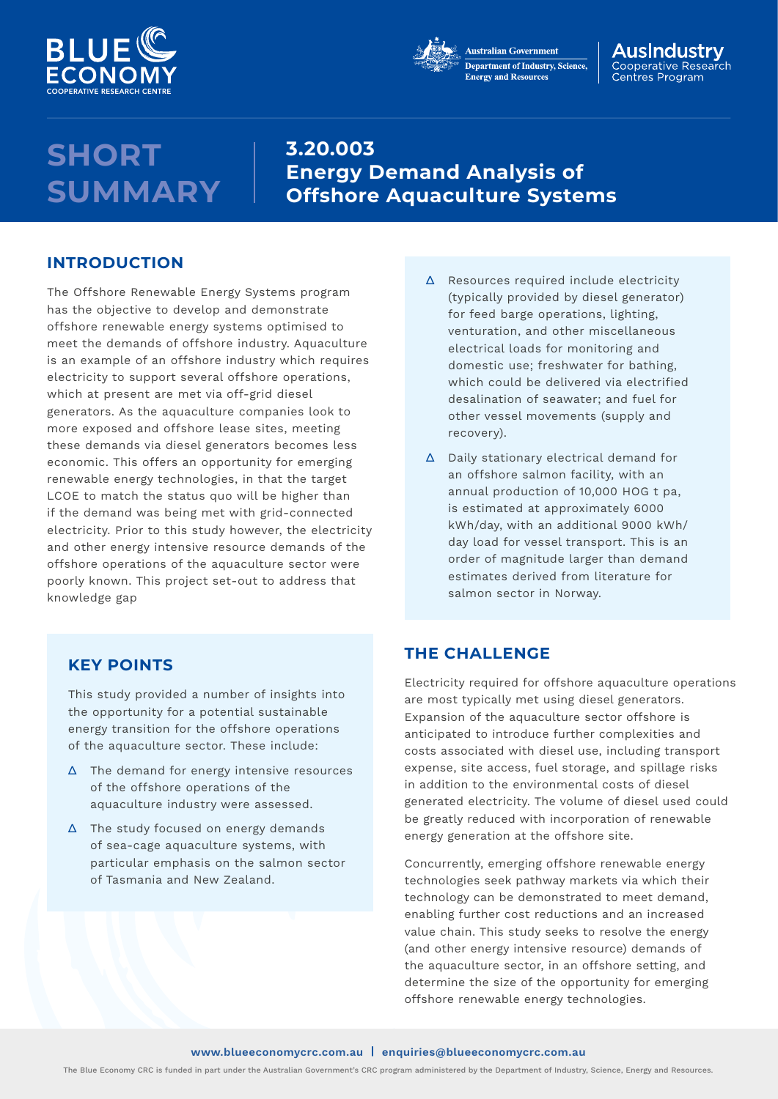



#### AusIndustrv Cooperative Research Centres Program

## **SHORT SUMMARY**

**3.20.003 Energy Demand Analysis of Offshore Aquaculture Systems**

### **INTRODUCTION**

The Offshore Renewable Energy Systems program has the objective to develop and demonstrate offshore renewable energy systems optimised to meet the demands of offshore industry. Aquaculture is an example of an offshore industry which requires electricity to support several offshore operations, which at present are met via off-grid diesel generators. As the aquaculture companies look to more exposed and offshore lease sites, meeting these demands via diesel generators becomes less economic. This offers an opportunity for emerging renewable energy technologies, in that the target LCOE to match the status quo will be higher than if the demand was being met with grid-connected electricity. Prior to this study however, the electricity and other energy intensive resource demands of the offshore operations of the aquaculture sector were poorly known. This project set-out to address that knowledge gap

## **KEY POINTS**

This study provided a number of insights into the opportunity for a potential sustainable energy transition for the offshore operations of the aquaculture sector. These include:

- ∆ The demand for energy intensive resources of the offshore operations of the aquaculture industry were assessed.
- ∆ The study focused on energy demands of sea-cage aquaculture systems, with particular emphasis on the salmon sector of Tasmania and New Zealand.
- ∆ Resources required include electricity (typically provided by diesel generator) for feed barge operations, lighting, venturation, and other miscellaneous electrical loads for monitoring and domestic use; freshwater for bathing, which could be delivered via electrified desalination of seawater; and fuel for other vessel movements (supply and recovery).
- ∆ Daily stationary electrical demand for an offshore salmon facility, with an annual production of 10,000 HOG t pa, is estimated at approximately 6000 kWh/day, with an additional 9000 kWh/ day load for vessel transport. This is an order of magnitude larger than demand estimates derived from literature for salmon sector in Norway.

## **THE CHALLENGE**

Electricity required for offshore aquaculture operations are most typically met using diesel generators. Expansion of the aquaculture sector offshore is anticipated to introduce further complexities and costs associated with diesel use, including transport expense, site access, fuel storage, and spillage risks in addition to the environmental costs of diesel generated electricity. The volume of diesel used could be greatly reduced with incorporation of renewable energy generation at the offshore site.

Concurrently, emerging offshore renewable energy technologies seek pathway markets via which their technology can be demonstrated to meet demand, enabling further cost reductions and an increased value chain. This study seeks to resolve the energy (and other energy intensive resource) demands of the aquaculture sector, in an offshore setting, and determine the size of the opportunity for emerging offshore renewable energy technologies.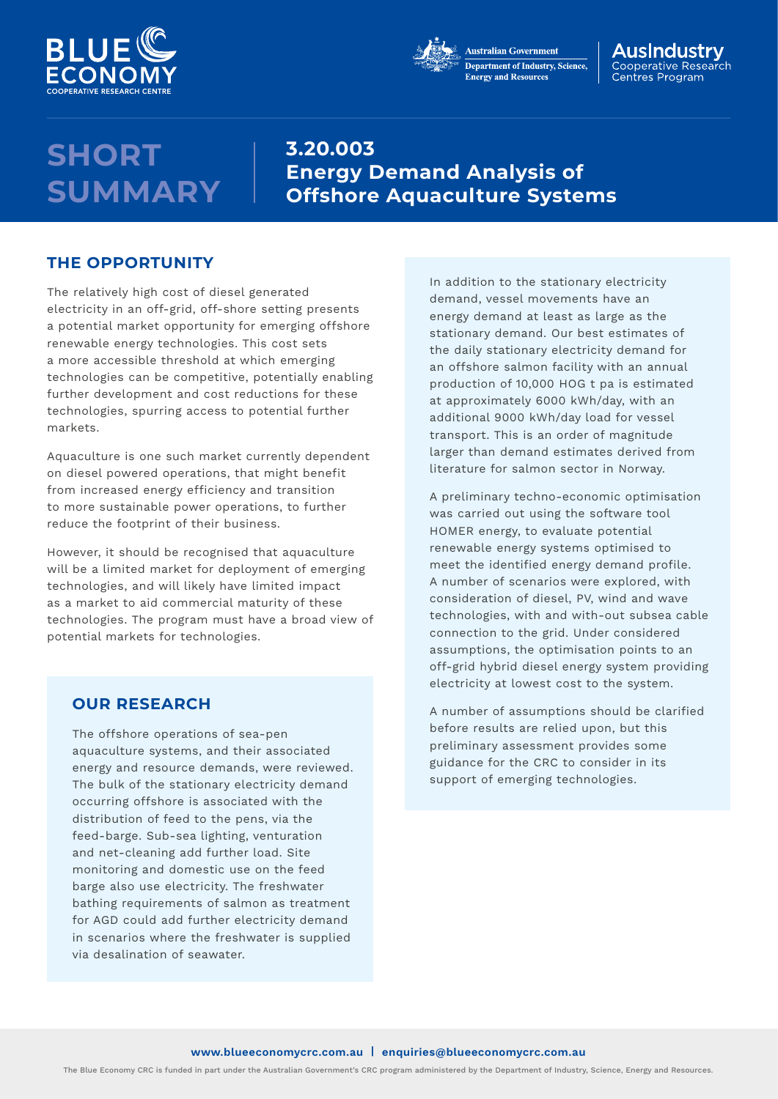



#### AusIndustrv Cooperative Research Centres Program

## **SHORT SUMMARY**

**3.20.003 Energy Demand Analysis of Offshore Aquaculture Systems**

### **THE OPPORTUNITY**

The relatively high cost of diesel generated electricity in an off-grid, off-shore setting presents a potential market opportunity for emerging offshore renewable energy technologies. This cost sets a more accessible threshold at which emerging technologies can be competitive, potentially enabling further development and cost reductions for these technologies, spurring access to potential further markets.

Aquaculture is one such market currently dependent on diesel powered operations, that might benefit from increased energy efficiency and transition to more sustainable power operations, to further reduce the footprint of their business.

However, it should be recognised that aquaculture will be a limited market for deployment of emerging technologies, and will likely have limited impact as a market to aid commercial maturity of these technologies. The program must have a broad view of potential markets for technologies.

### **OUR RESEARCH**

The offshore operations of sea-pen aquaculture systems, and their associated energy and resource demands, were reviewed. The bulk of the stationary electricity demand occurring offshore is associated with the distribution of feed to the pens, via the feed-barge. Sub-sea lighting, venturation and net-cleaning add further load. Site monitoring and domestic use on the feed barge also use electricity. The freshwater bathing requirements of salmon as treatment for AGD could add further electricity demand in scenarios where the freshwater is supplied via desalination of seawater.

In addition to the stationary electricity demand, vessel movements have an energy demand at least as large as the stationary demand. Our best estimates of the daily stationary electricity demand for an offshore salmon facility with an annual production of 10,000 HOG t pa is estimated at approximately 6000 kWh/day, with an additional 9000 kWh/day load for vessel transport. This is an order of magnitude larger than demand estimates derived from literature for salmon sector in Norway.

A preliminary techno-economic optimisation was carried out using the software tool HOMER energy, to evaluate potential renewable energy systems optimised to meet the identified energy demand profile. A number of scenarios were explored, with consideration of diesel, PV, wind and wave technologies, with and with-out subsea cable connection to the grid. Under considered assumptions, the optimisation points to an off-grid hybrid diesel energy system providing electricity at lowest cost to the system.

A number of assumptions should be clarified before results are relied upon, but this preliminary assessment provides some guidance for the CRC to consider in its support of emerging technologies.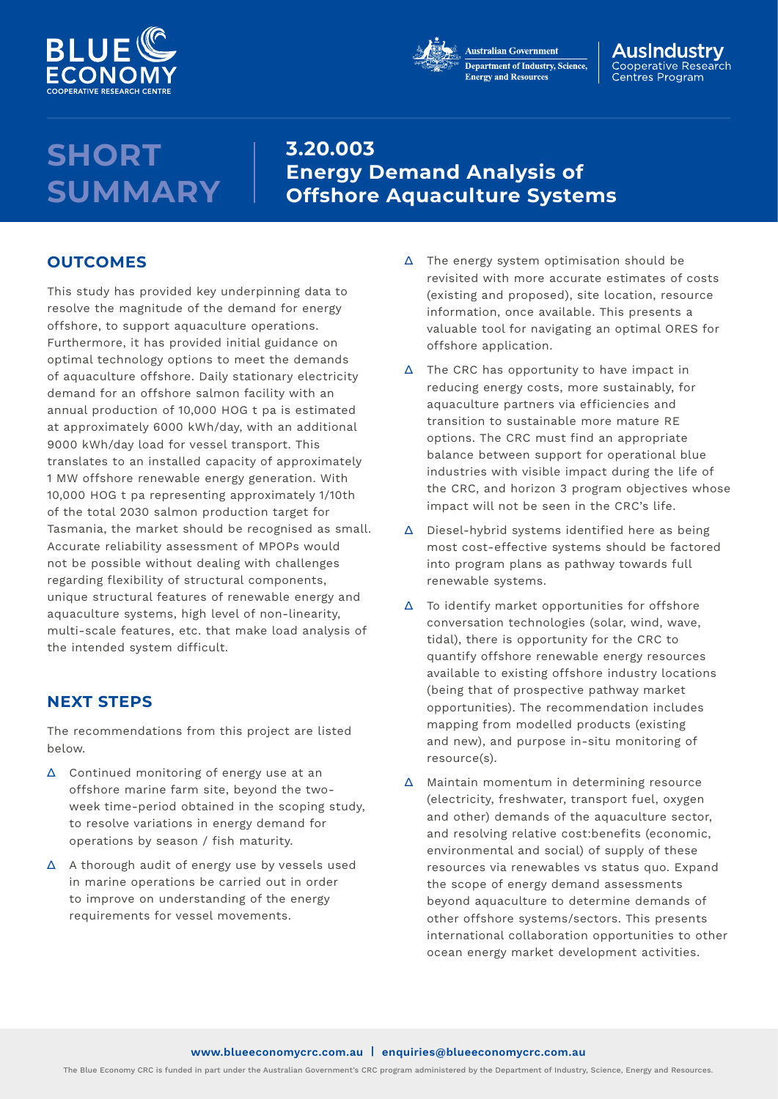



#### AusIndustrv Cooperative Research Centres Program

# **SHORT SUMMARY**

## **3.20.003 Energy Demand Analysis of Offshore Aquaculture Systems**

## **OUTCOMES**

This study has provided key underpinning data to resolve the magnitude of the demand for energy offshore, to support aquaculture operations. Furthermore, it has provided initial guidance on optimal technology options to meet the demands of aquaculture offshore. Daily stationary electricity demand for an offshore salmon facility with an annual production of 10,000 HOG t pa is estimated at approximately 6000 kWh/day, with an additional 9000 kWh/day load for vessel transport. This translates to an installed capacity of approximately 1 MW offshore renewable energy generation. With 10,000 HOG t pa representing approximately 1/10th of the total 2030 salmon production target for Tasmania, the market should be recognised as small. Accurate reliability assessment of MPOPs would not be possible without dealing with challenges regarding flexibility of structural components, unique structural features of renewable energy and aquaculture systems, high level of non-linearity, multi-scale features, etc. that make load analysis of the intended system difficult.

## **NEXT STEPS**

The recommendations from this project are listed below.

- ∆ Continued monitoring of energy use at an offshore marine farm site, beyond the twoweek time-period obtained in the scoping study, to resolve variations in energy demand for operations by season / fish maturity.
- ∆ A thorough audit of energy use by vessels used in marine operations be carried out in order to improve on understanding of the energy requirements for vessel movements.
- ∆ The energy system optimisation should be revisited with more accurate estimates of costs (existing and proposed), site location, resource information, once available. This presents a valuable tool for navigating an optimal ORES for offshore application.
- ∆ The CRC has opportunity to have impact in reducing energy costs, more sustainably, for aquaculture partners via efficiencies and transition to sustainable more mature RE options. The CRC must find an appropriate balance between support for operational blue industries with visible impact during the life of the CRC, and horizon 3 program objectives whose impact will not be seen in the CRC's life.
- ∆ Diesel-hybrid systems identified here as being most cost-effective systems should be factored into program plans as pathway towards full renewable systems.
- ∆ To identify market opportunities for offshore conversation technologies (solar, wind, wave, tidal), there is opportunity for the CRC to quantify offshore renewable energy resources available to existing offshore industry locations (being that of prospective pathway market opportunities). The recommendation includes mapping from modelled products (existing and new), and purpose in-situ monitoring of resource(s).
- ∆ Maintain momentum in determining resource (electricity, freshwater, transport fuel, oxygen and other) demands of the aquaculture sector, and resolving relative cost:benefits (economic, environmental and social) of supply of these resources via renewables vs status quo. Expand the scope of energy demand assessments beyond aquaculture to determine demands of other offshore systems/sectors. This presents international collaboration opportunities to other ocean energy market development activities.